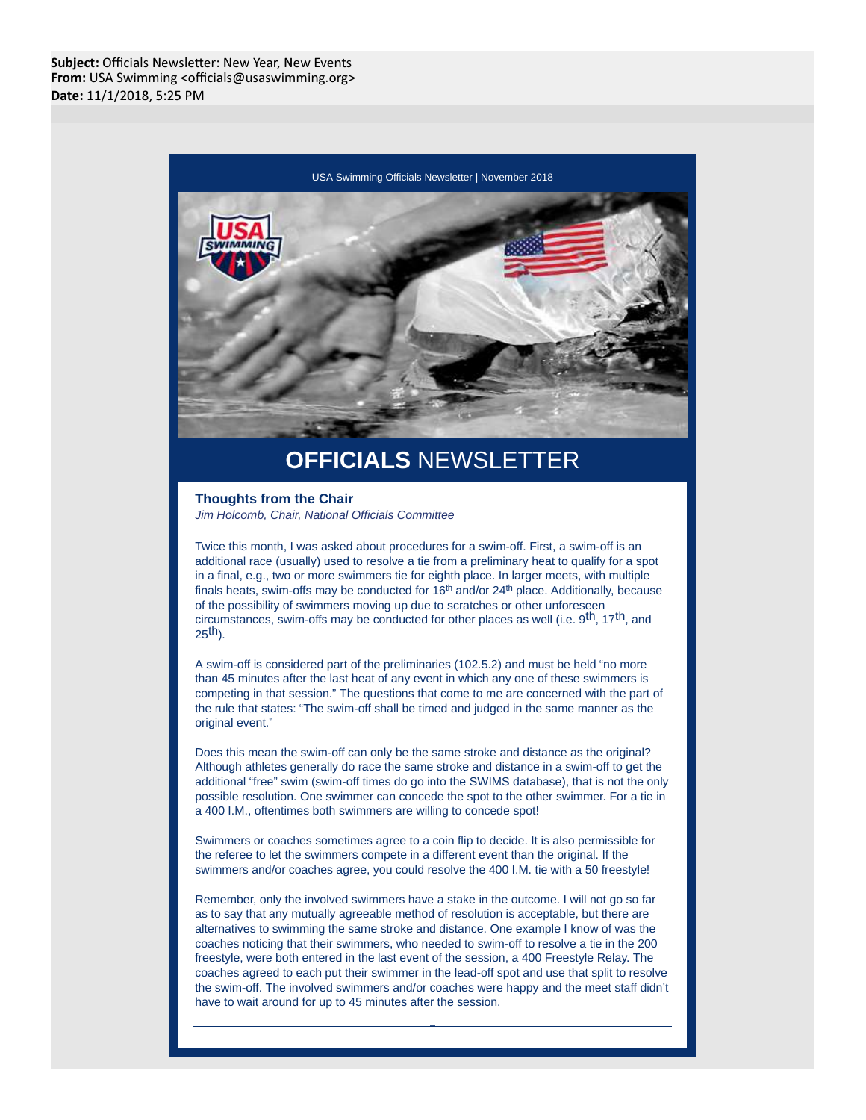

## **OFFICIALS** NEWSLETTER

## **Thoughts from the Chair** Jim Holcomb, Chair, National Officials Committee

Twice this month, I was asked about procedures for a swim-off. First, a swim-off is an additional race (usually) used to resolve a tie from a preliminary heat to qualify for a spot in a final, e.g., two or more swimmers tie for eighth place. In larger meets, with multiple finals heats, swim-offs may be conducted for 16<sup>th</sup> and/or 24<sup>th</sup> place. Additionally, because of the possibility of swimmers moving up due to scratches or other unforeseen circumstances, swim-offs may be conducted for other places as well (i.e. 9<sup>th</sup>, 17<sup>th</sup>, and  $25<sup>th</sup>$ ).

A swim-off is considered part of the preliminaries (102.5.2) and must be held "no more than 45 minutes after the last heat of any event in which any one of these swimmers is competing in that session." The questions that come to me are concerned with the part of the rule that states: "The swim-off shall be timed and judged in the same manner as the original event."

Does this mean the swim-off can only be the same stroke and distance as the original? Although athletes generally do race the same stroke and distance in a swim-off to get the additional "free" swim (swim-off times do go into the SWIMS database), that is not the only possible resolution. One swimmer can concede the spot to the other swimmer. For a tie in a 400 I.M., oftentimes both swimmers are willing to concede spot!

Swimmers or coaches sometimes agree to a coin flip to decide. It is also permissible for the referee to let the swimmers compete in a different event than the original. If the swimmers and/or coaches agree, you could resolve the 400 I.M. tie with a 50 freestyle!

Remember, only the involved swimmers have a stake in the outcome. I will not go so far as to say that any mutually agreeable method of resolution is acceptable, but there are alternatives to swimming the same stroke and distance. One example I know of was the coaches noticing that their swimmers, who needed to swim-off to resolve a tie in the 200 freestyle, were both entered in the last event of the session, a 400 Freestyle Relay. The coaches agreed to each put their swimmer in the lead-off spot and use that split to resolve the swim-off. The involved swimmers and/or coaches were happy and the meet staff didn't have to wait around for up to 45 minutes after the session.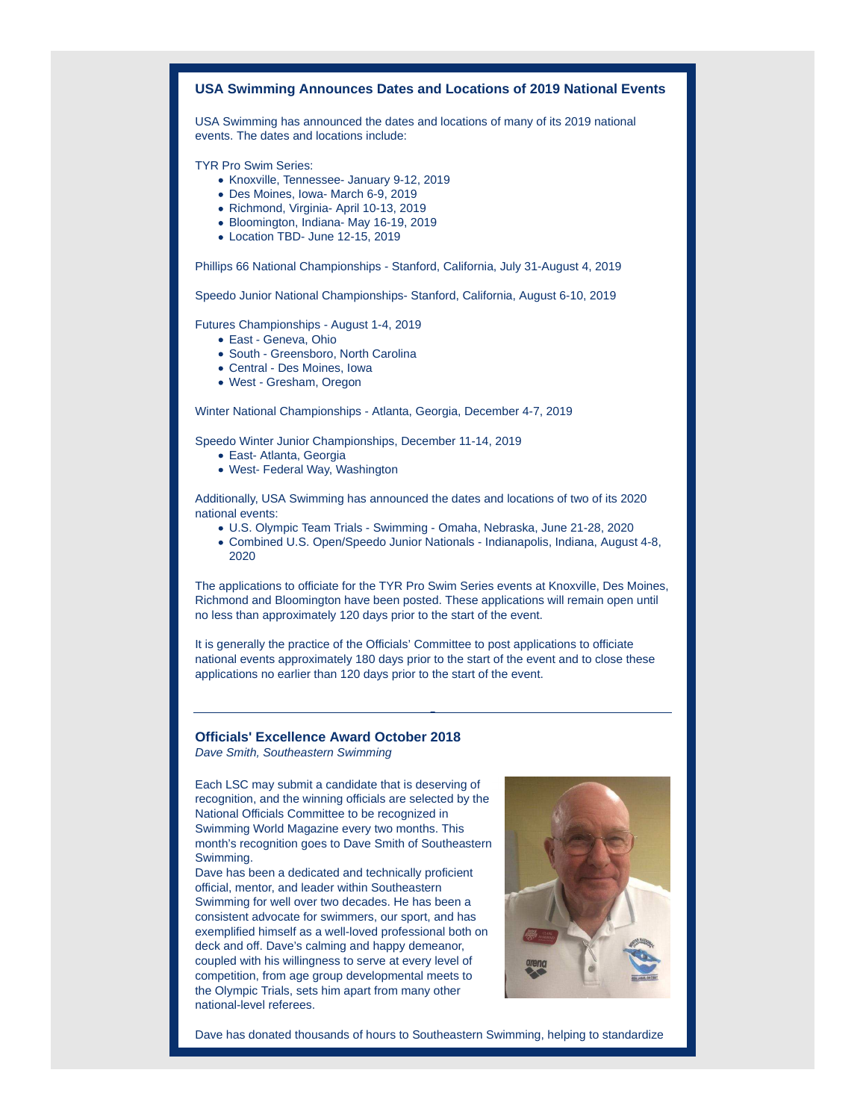## **USA Swimming Announces Dates and Locations of 2019 National Events** USA Swimming has announced the dates and locations of many of its 2019 national events. The dates and locations include: TYR Pro Swim Series: Knoxville, Tennessee- January 9-12, 2019 Des Moines, Iowa- March 6-9, 2019 Richmond, Virginia- April 10-13, 2019 Bloomington, Indiana- May 16-19, 2019 Location TBD- June 12-15, 2019

Phillips 66 National Championships - Stanford, California, July 31-August 4, 2019

Speedo Junior National Championships- Stanford, California, August 6-10, 2019

Futures Championships - August 1-4, 2019

- East Geneva, Ohio
- South Greensboro, North Carolina
- Central Des Moines, Iowa
- West Gresham, Oregon

Winter National Championships - Atlanta, Georgia, December 4-7, 2019

Speedo Winter Junior Championships, December 11-14, 2019

- East- Atlanta, Georgia
- West- Federal Way, Washington

Additionally, USA Swimming has announced the dates and locations of two of its 2020 national events:

- U.S. Olympic Team Trials Swimming Omaha, Nebraska, June 21-28, 2020
- Combined U.S. Open/Speedo Junior Nationals Indianapolis, Indiana, August 4-8, 2020

The applications to officiate for the TYR Pro Swim Series events at Knoxville, Des Moines, Richmond and Bloomington have been posted. These applications will remain open until no less than approximately 120 days prior to the start of the event.

It is generally the practice of the Officials' Committee to post applications to officiate national events approximately 180 days prior to the start of the event and to close these applications no earlier than 120 days prior to the start of the event.

## **Officials' Excellence Award October 2018**

Dave Smith, Southeastern Swimming

Each LSC may submit a candidate that is deserving of recognition, and the winning officials are selected by the National Officials Committee to be recognized in Swimming World Magazine every two months. This month's recognition goes to Dave Smith of Southeastern Swimming.

Dave has been a dedicated and technically proficient official, mentor, and leader within Southeastern Swimming for well over two decades. He has been a consistent advocate for swimmers, our sport, and has exemplified himself as a well-loved professional both on deck and off. Dave's calming and happy demeanor, coupled with his willingness to serve at every level of competition, from age group developmental meets to the Olympic Trials, sets him apart from many other national-level referees.



Dave has donated thousands of hours to Southeastern Swimming, helping to standardize